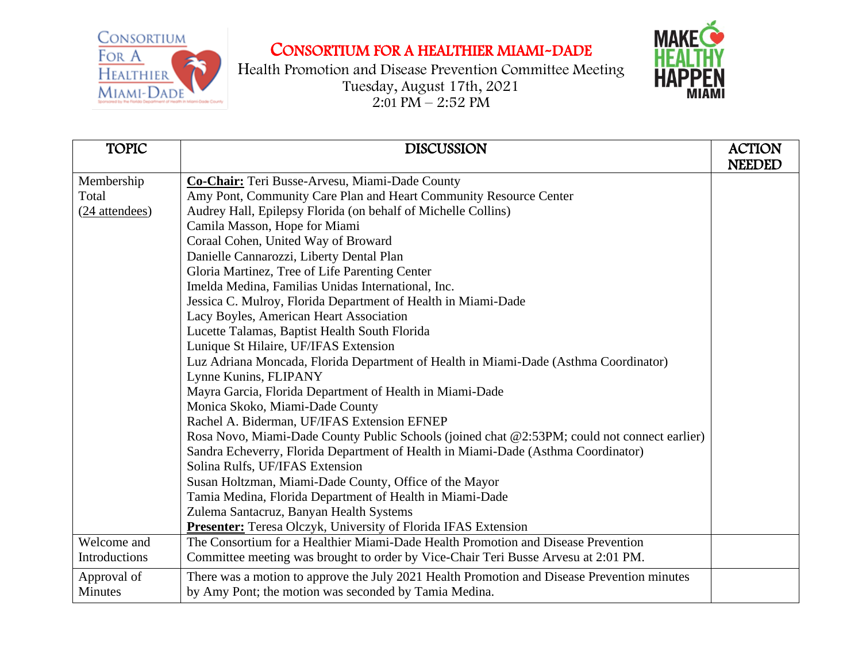CONSORTIUM FOR A **HEALTHIER** MIAMI-DADE

## CONSORTIUM FOR A HEALTHIER MIAMI-DADE





| <b>TOPIC</b>   | <b>DISCUSSION</b>                                                                            | <b>ACTION</b><br><b>NEEDED</b> |
|----------------|----------------------------------------------------------------------------------------------|--------------------------------|
| Membership     | Co-Chair: Teri Busse-Arvesu, Miami-Dade County                                               |                                |
| Total          | Amy Pont, Community Care Plan and Heart Community Resource Center                            |                                |
| (24 attendees) | Audrey Hall, Epilepsy Florida (on behalf of Michelle Collins)                                |                                |
|                | Camila Masson, Hope for Miami                                                                |                                |
|                | Coraal Cohen, United Way of Broward                                                          |                                |
|                | Danielle Cannarozzi, Liberty Dental Plan                                                     |                                |
|                | Gloria Martinez, Tree of Life Parenting Center                                               |                                |
|                | Imelda Medina, Familias Unidas International, Inc.                                           |                                |
|                | Jessica C. Mulroy, Florida Department of Health in Miami-Dade                                |                                |
|                | Lacy Boyles, American Heart Association                                                      |                                |
|                | Lucette Talamas, Baptist Health South Florida                                                |                                |
|                | Lunique St Hilaire, UF/IFAS Extension                                                        |                                |
|                | Luz Adriana Moncada, Florida Department of Health in Miami-Dade (Asthma Coordinator)         |                                |
|                | Lynne Kunins, FLIPANY                                                                        |                                |
|                | Mayra Garcia, Florida Department of Health in Miami-Dade                                     |                                |
|                | Monica Skoko, Miami-Dade County                                                              |                                |
|                | Rachel A. Biderman, UF/IFAS Extension EFNEP                                                  |                                |
|                | Rosa Novo, Miami-Dade County Public Schools (joined chat @2:53PM; could not connect earlier) |                                |
|                | Sandra Echeverry, Florida Department of Health in Miami-Dade (Asthma Coordinator)            |                                |
|                | Solina Rulfs, UF/IFAS Extension                                                              |                                |
|                | Susan Holtzman, Miami-Dade County, Office of the Mayor                                       |                                |
|                | Tamia Medina, Florida Department of Health in Miami-Dade                                     |                                |
|                | Zulema Santacruz, Banyan Health Systems                                                      |                                |
|                | <b>Presenter:</b> Teresa Olczyk, University of Florida IFAS Extension                        |                                |
| Welcome and    | The Consortium for a Healthier Miami-Dade Health Promotion and Disease Prevention            |                                |
| Introductions  | Committee meeting was brought to order by Vice-Chair Teri Busse Arvesu at 2:01 PM.           |                                |
| Approval of    | There was a motion to approve the July 2021 Health Promotion and Disease Prevention minutes  |                                |
| Minutes        | by Amy Pont; the motion was seconded by Tamia Medina.                                        |                                |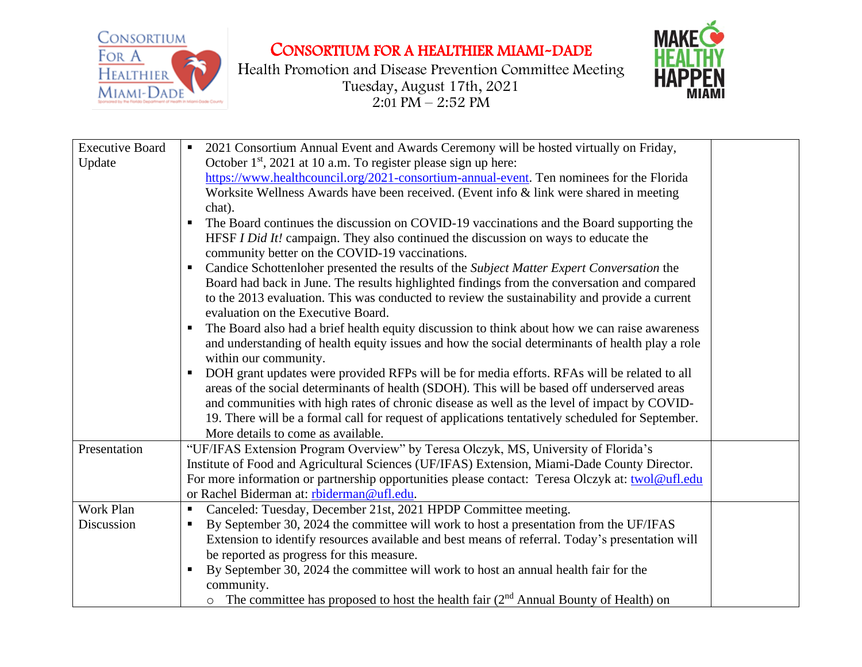

CONSORTIUM FOR A HEALTHIER MIAMI-DADE

Health Promotion and Disease Prevention Committee Meeting Tuesday, August 17th, 2021  $2:01$  PM – 2:52 PM



| <b>Executive Board</b><br>Update | 2021 Consortium Annual Event and Awards Ceremony will be hosted virtually on Friday,<br>October 1 <sup>st</sup> , 2021 at 10 a.m. To register please sign up here:<br>https://www.healthcouncil.org/2021-consortium-annual-event. Ten nominees for the Florida<br>Worksite Wellness Awards have been received. (Event info & link were shared in meeting<br>chat).<br>The Board continues the discussion on COVID-19 vaccinations and the Board supporting the<br>HFSF I Did It! campaign. They also continued the discussion on ways to educate the<br>community better on the COVID-19 vaccinations.<br>Candice Schottenloher presented the results of the Subject Matter Expert Conversation the<br>$\blacksquare$<br>Board had back in June. The results highlighted findings from the conversation and compared<br>to the 2013 evaluation. This was conducted to review the sustainability and provide a current<br>evaluation on the Executive Board.<br>The Board also had a brief health equity discussion to think about how we can raise awareness<br>and understanding of health equity issues and how the social determinants of health play a role<br>within our community.<br>DOH grant updates were provided RFPs will be for media efforts. RFAs will be related to all<br>areas of the social determinants of health (SDOH). This will be based off underserved areas<br>and communities with high rates of chronic disease as well as the level of impact by COVID-<br>19. There will be a formal call for request of applications tentatively scheduled for September.<br>More details to come as available. |
|----------------------------------|---------------------------------------------------------------------------------------------------------------------------------------------------------------------------------------------------------------------------------------------------------------------------------------------------------------------------------------------------------------------------------------------------------------------------------------------------------------------------------------------------------------------------------------------------------------------------------------------------------------------------------------------------------------------------------------------------------------------------------------------------------------------------------------------------------------------------------------------------------------------------------------------------------------------------------------------------------------------------------------------------------------------------------------------------------------------------------------------------------------------------------------------------------------------------------------------------------------------------------------------------------------------------------------------------------------------------------------------------------------------------------------------------------------------------------------------------------------------------------------------------------------------------------------------------------------------------------------------------------------------------------|
| Presentation                     | "UF/IFAS Extension Program Overview" by Teresa Olczyk, MS, University of Florida's<br>Institute of Food and Agricultural Sciences (UF/IFAS) Extension, Miami-Dade County Director.<br>For more information or partnership opportunities please contact: Teresa Olczyk at: twol@ufl.edu<br>or Rachel Biderman at: rbiderman@ufl.edu.                                                                                                                                                                                                                                                                                                                                                                                                                                                                                                                                                                                                                                                                                                                                                                                                                                                                                                                                                                                                                                                                                                                                                                                                                                                                                             |
| Work Plan                        | Canceled: Tuesday, December 21st, 2021 HPDP Committee meeting.                                                                                                                                                                                                                                                                                                                                                                                                                                                                                                                                                                                                                                                                                                                                                                                                                                                                                                                                                                                                                                                                                                                                                                                                                                                                                                                                                                                                                                                                                                                                                                  |
| Discussion                       | By September 30, 2024 the committee will work to host a presentation from the UF/IFAS                                                                                                                                                                                                                                                                                                                                                                                                                                                                                                                                                                                                                                                                                                                                                                                                                                                                                                                                                                                                                                                                                                                                                                                                                                                                                                                                                                                                                                                                                                                                           |
|                                  | Extension to identify resources available and best means of referral. Today's presentation will                                                                                                                                                                                                                                                                                                                                                                                                                                                                                                                                                                                                                                                                                                                                                                                                                                                                                                                                                                                                                                                                                                                                                                                                                                                                                                                                                                                                                                                                                                                                 |
|                                  | be reported as progress for this measure.                                                                                                                                                                                                                                                                                                                                                                                                                                                                                                                                                                                                                                                                                                                                                                                                                                                                                                                                                                                                                                                                                                                                                                                                                                                                                                                                                                                                                                                                                                                                                                                       |
|                                  | By September 30, 2024 the committee will work to host an annual health fair for the                                                                                                                                                                                                                                                                                                                                                                                                                                                                                                                                                                                                                                                                                                                                                                                                                                                                                                                                                                                                                                                                                                                                                                                                                                                                                                                                                                                                                                                                                                                                             |
|                                  | community.                                                                                                                                                                                                                                                                                                                                                                                                                                                                                                                                                                                                                                                                                                                                                                                                                                                                                                                                                                                                                                                                                                                                                                                                                                                                                                                                                                                                                                                                                                                                                                                                                      |
|                                  | $\circ$ The committee has proposed to host the health fair ( $2nd$ Annual Bounty of Health) on                                                                                                                                                                                                                                                                                                                                                                                                                                                                                                                                                                                                                                                                                                                                                                                                                                                                                                                                                                                                                                                                                                                                                                                                                                                                                                                                                                                                                                                                                                                                  |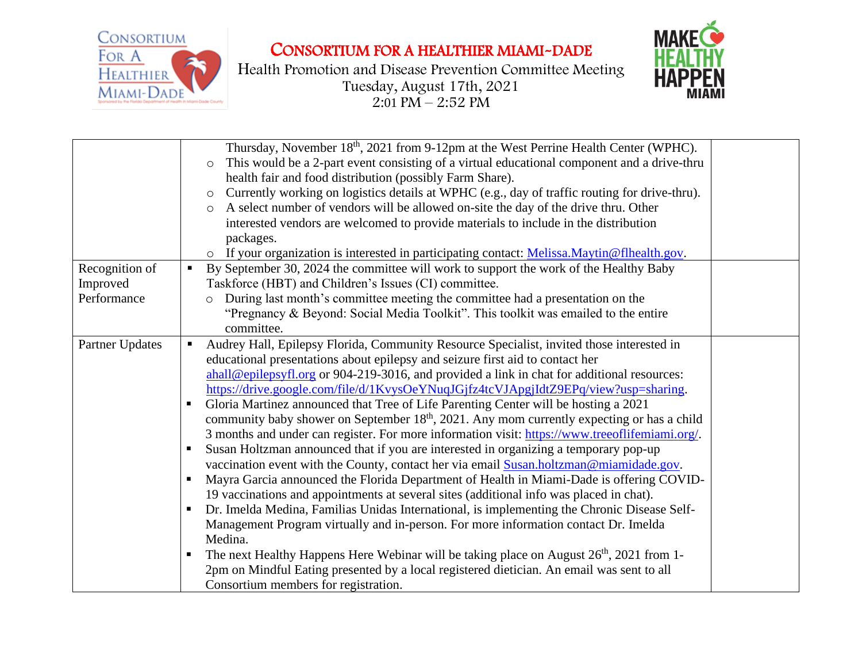CONSORTIUM **HEALTHIER** 

FOR A

MIAMI-DADE

CONSORTIUM FOR A HEALTHIER MIAMI-DADE



Health Promotion and Disease Prevention Committee Meeting Tuesday, August 17th, 2021  $2:01$  PM – 2:52 PM

|                                           | Thursday, November 18 <sup>th</sup> , 2021 from 9-12pm at the West Perrine Health Center (WPHC).<br>This would be a 2-part event consisting of a virtual educational component and a drive-thru<br>$\circ$<br>health fair and food distribution (possibly Farm Share).<br>Currently working on logistics details at WPHC (e.g., day of traffic routing for drive-thru).<br>$\circ$<br>A select number of vendors will be allowed on-site the day of the drive thru. Other<br>$\circ$<br>interested vendors are welcomed to provide materials to include in the distribution<br>packages.<br>o If your organization is interested in participating contact: Melissa.Maytin@flhealth.gov.                                                                                                                                                                                                                                                                                                                                                                                                                                                                                                                                                                                                                                                                                                                                                                                                                                                                                                                                       |
|-------------------------------------------|-------------------------------------------------------------------------------------------------------------------------------------------------------------------------------------------------------------------------------------------------------------------------------------------------------------------------------------------------------------------------------------------------------------------------------------------------------------------------------------------------------------------------------------------------------------------------------------------------------------------------------------------------------------------------------------------------------------------------------------------------------------------------------------------------------------------------------------------------------------------------------------------------------------------------------------------------------------------------------------------------------------------------------------------------------------------------------------------------------------------------------------------------------------------------------------------------------------------------------------------------------------------------------------------------------------------------------------------------------------------------------------------------------------------------------------------------------------------------------------------------------------------------------------------------------------------------------------------------------------------------------|
| Recognition of<br>Improved<br>Performance | By September 30, 2024 the committee will work to support the work of the Healthy Baby<br>$\blacksquare$<br>Taskforce (HBT) and Children's Issues (CI) committee.<br>During last month's committee meeting the committee had a presentation on the<br>$\circ$<br>"Pregnancy & Beyond: Social Media Toolkit". This toolkit was emailed to the entire<br>committee.                                                                                                                                                                                                                                                                                                                                                                                                                                                                                                                                                                                                                                                                                                                                                                                                                                                                                                                                                                                                                                                                                                                                                                                                                                                              |
| <b>Partner Updates</b>                    | Audrey Hall, Epilepsy Florida, Community Resource Specialist, invited those interested in<br>$\blacksquare$<br>educational presentations about epilepsy and seizure first aid to contact her<br>$\frac{\text{ahall}\omega_{\text{epilepsyfl.org}}}{\text{ahall}\omega_{\text{epilepsyfl.org}}}$ or 904-219-3016, and provided a link in chat for additional resources:<br>https://drive.google.com/file/d/1KvysOeYNuqJGjfz4tcVJApgjIdtZ9EPq/view?usp=sharing.<br>Gloria Martinez announced that Tree of Life Parenting Center will be hosting a 2021<br>$\blacksquare$ .<br>community baby shower on September 18 <sup>th</sup> , 2021. Any mom currently expecting or has a child<br>3 months and under can register. For more information visit: https://www.treeoflifemiami.org/.<br>Susan Holtzman announced that if you are interested in organizing a temporary pop-up<br>vaccination event with the County, contact her via email Susan.holtzman@miamidade.gov.<br>Mayra Garcia announced the Florida Department of Health in Miami-Dade is offering COVID-<br>19 vaccinations and appointments at several sites (additional info was placed in chat).<br>Dr. Imelda Medina, Familias Unidas International, is implementing the Chronic Disease Self-<br>$\blacksquare$<br>Management Program virtually and in-person. For more information contact Dr. Imelda<br>Medina.<br>The next Healthy Happens Here Webinar will be taking place on August 26 <sup>th</sup> , 2021 from 1-<br>2pm on Mindful Eating presented by a local registered dietician. An email was sent to all<br>Consortium members for registration. |